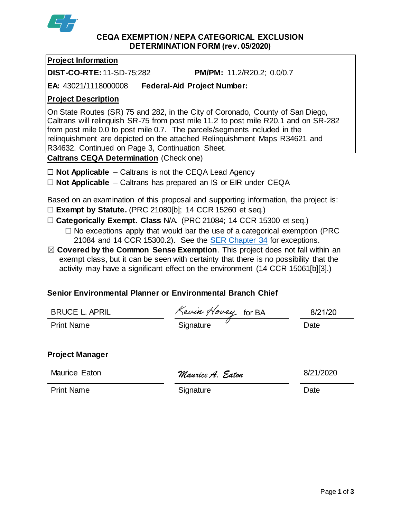

#### **CEQA EXEMPTION / NEPA CATEGORICAL EXCLUSION DETERMINATION FORM (rev. 05/2020)**

## **Project Information**

**DIST-CO-RTE:**11-SD-75;282 **PM/PM:** 11.2/R20.2; 0.0/0.7

**EA:** 43021/1118000008 **Federal-Aid Project Number:**

## **Project Description**

On State Routes (SR) 75 and 282, in the City of Coronado, County of San Diego, Caltrans will relinquish SR-75 from post mile 11.2 to post mile R20.1 and on SR-282 from post mile 0.0 to post mile 0.7. The parcels/segments included in the relinquishment are depicted on the attached Relinquishment Maps R34621 and R34632. Continued on Page 3, Continuation Sheet.

**Caltrans CEQA Determination** (Check one)

- ☐ **Not Applicable** Caltrans is not the CEQA Lead Agency
- ☐ **Not Applicable** Caltrans has prepared an IS or EIR under CEQA

Based on an examination of this proposal and supporting information, the project is: ☐ **Exempt by Statute.** (PRC 21080[b]; 14 CCR 15260 et seq.)

- ☐ **Categorically Exempt. Class** N/A. (PRC 21084; 14 CCR 15300 et seq.)
	- $\Box$  No exceptions apply that would bar the use of a categorical exemption (PRC 21084 and 14 CCR 15300.2). See the [SER Chapter 34](https://dot.ca.gov/programs/environmental-analysis/standard-environmental-reference-ser/volume-1-guidance-for-compliance/ch-34-exemptions-to-ceqa#except) for exceptions.
- ☒ **Covered by the Common Sense Exemption**. This project does not fall within an exempt class, but it can be seen with certainty that there is no possibility that the activity may have a significant effect on the environment (14 CCR 15061[b][3].)

# **Senior Environmental Planner or Environmental Branch Chief**

| <b>BRUCE L. APRIL</b>  | Kevin Hovey for BA | 8/21/20   |
|------------------------|--------------------|-----------|
| <b>Print Name</b>      | Signature          | Date      |
| <b>Project Manager</b> |                    |           |
| Maurice Eaton          | Maurice A. Eaton   | 8/21/2020 |
| <b>Print Name</b>      | Signature          | Date      |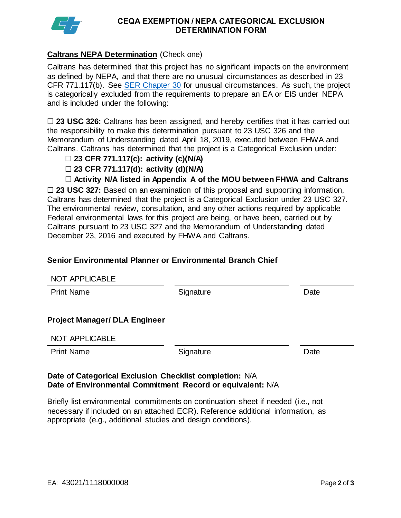

#### **CEQA EXEMPTION / NEPA CATEGORICAL EXCLUSION DETERMINATION FORM**

### **Caltrans NEPA Determination** (Check one)

Caltrans has determined that this project has no significant impacts on the environment as defined by NEPA, and that there are no unusual circumstances as described in 23 CFR 771.117(b). See [SER Chapter 30](https://dot.ca.gov/programs/environmental-analysis/standard-environmental-reference-ser/volume-1-guidance-for-compliance/ch-30-categorical-exclusions#exception) for unusual circumstances. As such, the project is categorically excluded from the requirements to prepare an EA or EIS under NEPA and is included under the following:

□ 23 USC 326: Caltrans has been assigned, and hereby certifies that it has carried out the responsibility to make this determination pursuant to 23 USC 326 and the Memorandum of Understanding dated April 18, 2019, executed between FHWA and Caltrans. Caltrans has determined that the project is a Categorical Exclusion under:

- ☐ **23 CFR 771.117(c): activity (c)(N/A)**
- ☐ **23 CFR 771.117(d): activity (d)(N/A)**

☐ **Activity N/A listed in Appendix A of the MOU between FHWA and Caltrans**

□ 23 USC 327: Based on an examination of this proposal and supporting information, Caltrans has determined that the project is a Categorical Exclusion under 23 USC 327. The environmental review, consultation, and any other actions required by applicable Federal environmental laws for this project are being, or have been, carried out by Caltrans pursuant to 23 USC 327 and the Memorandum of Understanding dated December 23, 2016 and executed by FHWA and Caltrans.

### **Senior Environmental Planner or Environmental Branch Chief**

| NOT APPLICABLE                       |           |      |
|--------------------------------------|-----------|------|
| <b>Print Name</b>                    | Signature | Date |
|                                      |           |      |
| <b>Project Manager/ DLA Engineer</b> |           |      |
| NOT APPLICABLE                       |           |      |
| <b>Print Name</b>                    | Signature | Date |

#### **Date of Categorical Exclusion Checklist completion:** N/A **Date of Environmental Commitment Record or equivalent:** N/A

Briefly list environmental commitments on continuation sheet if needed (i.e., not necessary if included on an attached ECR). Reference additional information, as appropriate (e.g., additional studies and design conditions).